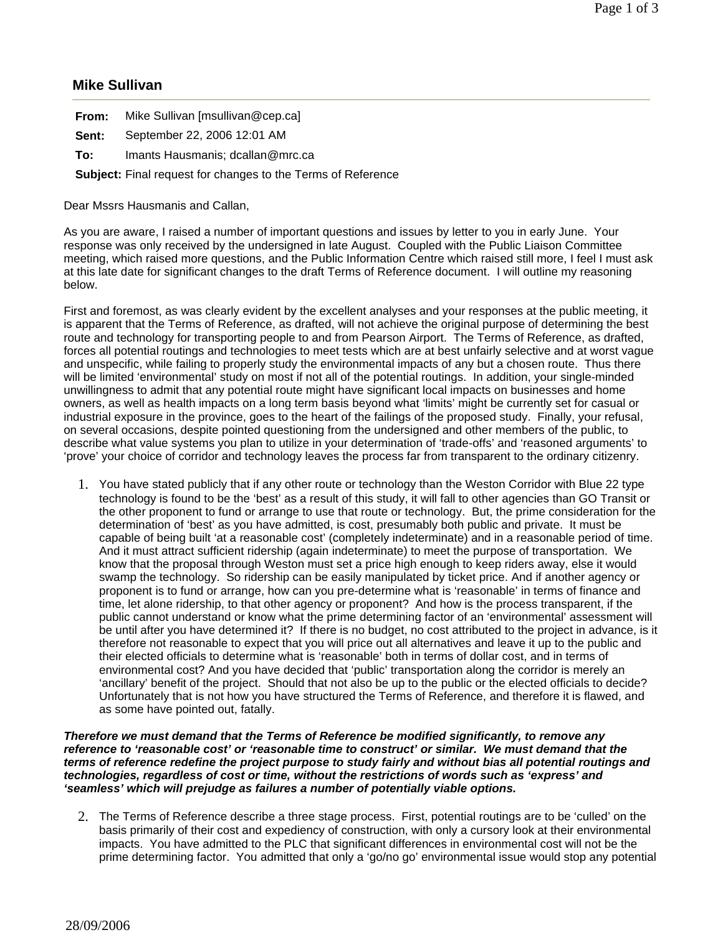## **Mike Sullivan**

| From: | Mike Sullivan [msullivan@cep.ca] |
|-------|----------------------------------|
|-------|----------------------------------|

- **Sent:** September 22, 2006 12:01 AM
- **To:** Imants Hausmanis; dcallan@mrc.ca

**Subject:** Final request for changes to the Terms of Reference

Dear Mssrs Hausmanis and Callan,

As you are aware, I raised a number of important questions and issues by letter to you in early June. Your response was only received by the undersigned in late August. Coupled with the Public Liaison Committee meeting, which raised more questions, and the Public Information Centre which raised still more, I feel I must ask at this late date for significant changes to the draft Terms of Reference document. I will outline my reasoning below.

First and foremost, as was clearly evident by the excellent analyses and your responses at the public meeting, it is apparent that the Terms of Reference, as drafted, will not achieve the original purpose of determining the best route and technology for transporting people to and from Pearson Airport. The Terms of Reference, as drafted, forces all potential routings and technologies to meet tests which are at best unfairly selective and at worst vague and unspecific, while failing to properly study the environmental impacts of any but a chosen route. Thus there will be limited 'environmental' study on most if not all of the potential routings. In addition, your single-minded unwillingness to admit that any potential route might have significant local impacts on businesses and home owners, as well as health impacts on a long term basis beyond what 'limits' might be currently set for casual or industrial exposure in the province, goes to the heart of the failings of the proposed study. Finally, your refusal, on several occasions, despite pointed questioning from the undersigned and other members of the public, to describe what value systems you plan to utilize in your determination of 'trade-offs' and 'reasoned arguments' to 'prove' your choice of corridor and technology leaves the process far from transparent to the ordinary citizenry.

1. You have stated publicly that if any other route or technology than the Weston Corridor with Blue 22 type technology is found to be the 'best' as a result of this study, it will fall to other agencies than GO Transit or the other proponent to fund or arrange to use that route or technology. But, the prime consideration for the determination of 'best' as you have admitted, is cost, presumably both public and private. It must be capable of being built 'at a reasonable cost' (completely indeterminate) and in a reasonable period of time. And it must attract sufficient ridership (again indeterminate) to meet the purpose of transportation. We know that the proposal through Weston must set a price high enough to keep riders away, else it would swamp the technology. So ridership can be easily manipulated by ticket price. And if another agency or proponent is to fund or arrange, how can you pre-determine what is 'reasonable' in terms of finance and time, let alone ridership, to that other agency or proponent? And how is the process transparent, if the public cannot understand or know what the prime determining factor of an 'environmental' assessment will be until after you have determined it? If there is no budget, no cost attributed to the project in advance, is it therefore not reasonable to expect that you will price out all alternatives and leave it up to the public and their elected officials to determine what is 'reasonable' both in terms of dollar cost, and in terms of environmental cost? And you have decided that 'public' transportation along the corridor is merely an 'ancillary' benefit of the project. Should that not also be up to the public or the elected officials to decide? Unfortunately that is not how you have structured the Terms of Reference, and therefore it is flawed, and as some have pointed out, fatally.

## *Therefore we must demand that the Terms of Reference be modified significantly, to remove any reference to 'reasonable cost' or 'reasonable time to construct' or similar. We must demand that the terms of reference redefine the project purpose to study fairly and without bias all potential routings and technologies, regardless of cost or time, without the restrictions of words such as 'express' and 'seamless' which will prejudge as failures a number of potentially viable options.*

2. The Terms of Reference describe a three stage process. First, potential routings are to be 'culled' on the basis primarily of their cost and expediency of construction, with only a cursory look at their environmental impacts. You have admitted to the PLC that significant differences in environmental cost will not be the prime determining factor. You admitted that only a 'go/no go' environmental issue would stop any potential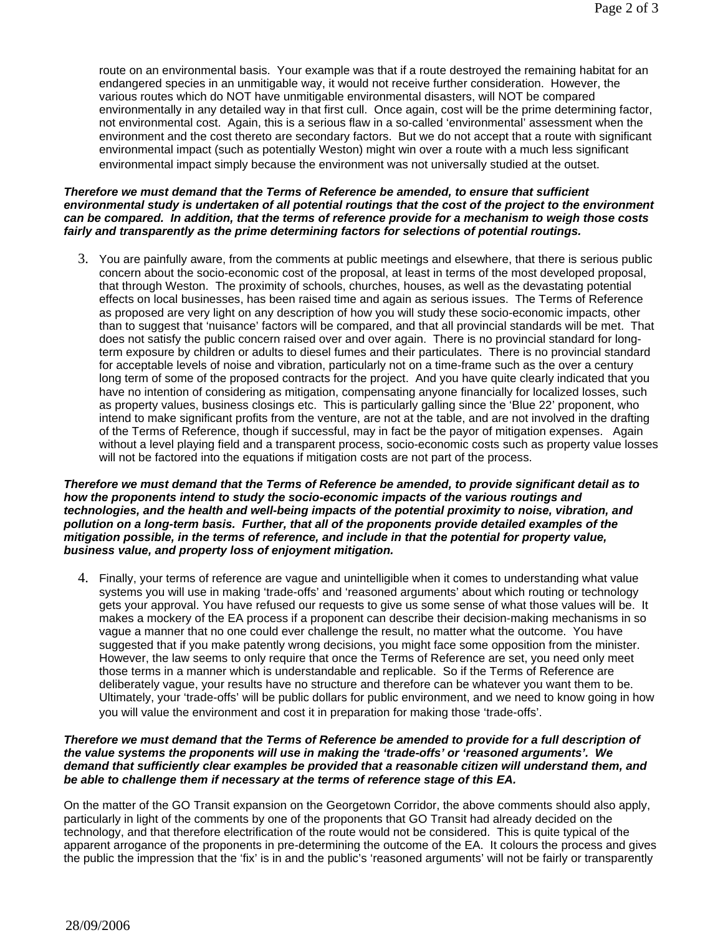route on an environmental basis. Your example was that if a route destroyed the remaining habitat for an endangered species in an unmitigable way, it would not receive further consideration. However, the various routes which do NOT have unmitigable environmental disasters, will NOT be compared environmentally in any detailed way in that first cull. Once again, cost will be the prime determining factor, not environmental cost. Again, this is a serious flaw in a so-called 'environmental' assessment when the environment and the cost thereto are secondary factors. But we do not accept that a route with significant environmental impact (such as potentially Weston) might win over a route with a much less significant environmental impact simply because the environment was not universally studied at the outset.

## *Therefore we must demand that the Terms of Reference be amended, to ensure that sufficient environmental study is undertaken of all potential routings that the cost of the project to the environment can be compared. In addition, that the terms of reference provide for a mechanism to weigh those costs fairly and transparently as the prime determining factors for selections of potential routings.*

3. You are painfully aware, from the comments at public meetings and elsewhere, that there is serious public concern about the socio-economic cost of the proposal, at least in terms of the most developed proposal, that through Weston. The proximity of schools, churches, houses, as well as the devastating potential effects on local businesses, has been raised time and again as serious issues. The Terms of Reference as proposed are very light on any description of how you will study these socio-economic impacts, other than to suggest that 'nuisance' factors will be compared, and that all provincial standards will be met. That does not satisfy the public concern raised over and over again. There is no provincial standard for longterm exposure by children or adults to diesel fumes and their particulates. There is no provincial standard for acceptable levels of noise and vibration, particularly not on a time-frame such as the over a century long term of some of the proposed contracts for the project. And you have quite clearly indicated that you have no intention of considering as mitigation, compensating anyone financially for localized losses, such as property values, business closings etc. This is particularly galling since the 'Blue 22' proponent, who intend to make significant profits from the venture, are not at the table, and are not involved in the drafting of the Terms of Reference, though if successful, may in fact be the payor of mitigation expenses. Again without a level playing field and a transparent process, socio-economic costs such as property value losses will not be factored into the equations if mitigation costs are not part of the process.

*Therefore we must demand that the Terms of Reference be amended, to provide significant detail as to how the proponents intend to study the socio-economic impacts of the various routings and technologies, and the health and well-being impacts of the potential proximity to noise, vibration, and pollution on a long-term basis. Further, that all of the proponents provide detailed examples of the mitigation possible, in the terms of reference, and include in that the potential for property value, business value, and property loss of enjoyment mitigation.* 

4. Finally, your terms of reference are vague and unintelligible when it comes to understanding what value systems you will use in making 'trade-offs' and 'reasoned arguments' about which routing or technology gets your approval. You have refused our requests to give us some sense of what those values will be. It makes a mockery of the EA process if a proponent can describe their decision-making mechanisms in so vague a manner that no one could ever challenge the result, no matter what the outcome. You have suggested that if you make patently wrong decisions, you might face some opposition from the minister. However, the law seems to only require that once the Terms of Reference are set, you need only meet those terms in a manner which is understandable and replicable. So if the Terms of Reference are deliberately vague, your results have no structure and therefore can be whatever you want them to be. Ultimately, your 'trade-offs' will be public dollars for public environment, and we need to know going in how you will value the environment and cost it in preparation for making those 'trade-offs'.

## *Therefore we must demand that the Terms of Reference be amended to provide for a full description of the value systems the proponents will use in making the 'trade-offs' or 'reasoned arguments'. We demand that sufficiently clear examples be provided that a reasonable citizen will understand them, and be able to challenge them if necessary at the terms of reference stage of this EA.*

On the matter of the GO Transit expansion on the Georgetown Corridor, the above comments should also apply, particularly in light of the comments by one of the proponents that GO Transit had already decided on the technology, and that therefore electrification of the route would not be considered. This is quite typical of the apparent arrogance of the proponents in pre-determining the outcome of the EA. It colours the process and gives the public the impression that the 'fix' is in and the public's 'reasoned arguments' will not be fairly or transparently